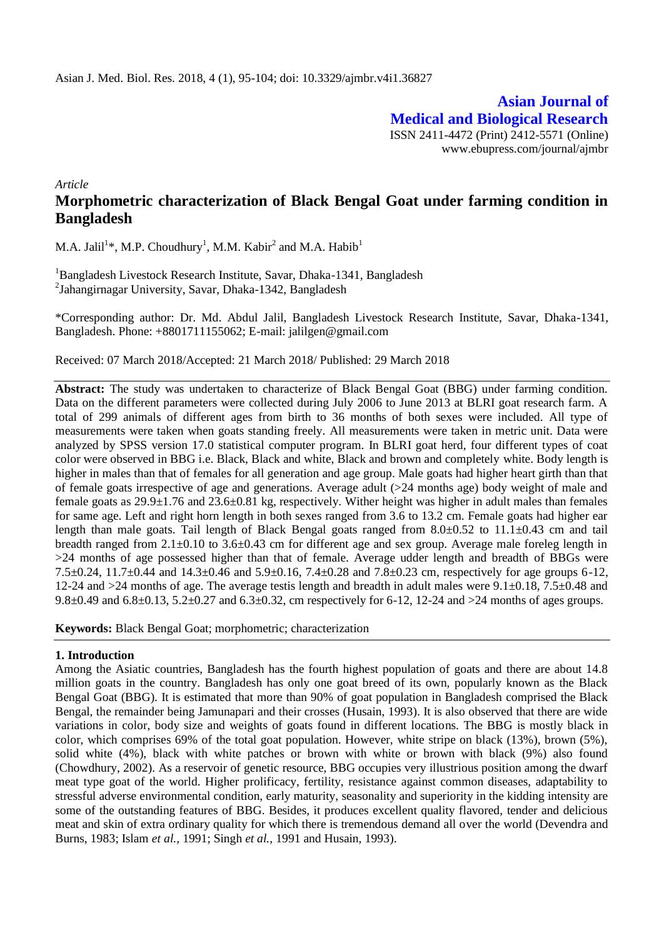**Asian Journal of Medical and Biological Research** ISSN 2411-4472 (Print) 2412-5571 (Online) www.ebupress.com/journal/ajmbr

*Article*

# **Morphometric characterization of Black Bengal Goat under farming condition in Bangladesh**

M.A. Jalil<sup>1</sup>\*, M.P. Choudhury<sup>1</sup>, M.M. Kabir<sup>2</sup> and M.A. Habib<sup>1</sup>

<sup>1</sup>Bangladesh Livestock Research Institute, Savar, Dhaka-1341, Bangladesh 2 Jahangirnagar University, Savar, Dhaka-1342, Bangladesh

\*Corresponding author: Dr. Md. Abdul Jalil, Bangladesh Livestock Research Institute, Savar, Dhaka-1341, Bangladesh. Phone: +8801711155062; E-mail: [jalilgen@gmail.com](mailto:jalilgen@gmail.com)

Received: 07 March 2018/Accepted: 21 March 2018/ Published: 29 March 2018

**Abstract:** The study was undertaken to characterize of Black Bengal Goat (BBG) under farming condition. Data on the different parameters were collected during July 2006 to June 2013 at BLRI goat research farm. A total of 299 animals of different ages from birth to 36 months of both sexes were included. All type of measurements were taken when goats standing freely. All measurements were taken in metric unit. Data were analyzed by SPSS version 17.0 statistical computer program. In BLRI goat herd, four different types of coat color were observed in BBG i.e. Black, Black and white, Black and brown and completely white. Body length is higher in males than that of females for all generation and age group. Male goats had higher heart girth than that of female goats irrespective of age and generations. Average adult (>24 months age) body weight of male and female goats as 29.9±1.76 and 23.6±0.81 kg, respectively. Wither height was higher in adult males than females for same age. Left and right horn length in both sexes ranged from 3.6 to 13.2 cm. Female goats had higher ear length than male goats. Tail length of Black Bengal goats ranged from 8.0±0.52 to 11.1±0.43 cm and tail breadth ranged from  $2.1\pm0.10$  to  $3.6\pm0.43$  cm for different age and sex group. Average male foreleg length in >24 months of age possessed higher than that of female. Average udder length and breadth of BBGs were 7.5 $\pm$ 0.24, 11.7 $\pm$ 0.44 and 14.3 $\pm$ 0.46 and 5.9 $\pm$ 0.16, 7.4 $\pm$ 0.28 and 7.8 $\pm$ 0.23 cm, respectively for age groups 6-12, 12-24 and >24 months of age. The average testis length and breadth in adult males were 9.1±0.18, 7.5±0.48 and 9.8 $\pm$ 0.49 and 6.8 $\pm$ 0.13, 5.2 $\pm$ 0.27 and 6.3 $\pm$ 0.32, cm respectively for 6-12, 12-24 and >24 months of ages groups.

**Keywords:** Black Bengal Goat; morphometric; characterization

### **1. Introduction**

Among the Asiatic countries, Bangladesh has the fourth highest population of goats and there are about 14.8 million goats in the country. Bangladesh has only one goat breed of its own, popularly known as the Black Bengal Goat (BBG). It is estimated that more than 90% of goat population in Bangladesh comprised the Black Bengal, the remainder being Jamunapari and their crosses (Husain, 1993). It is also observed that there are wide variations in color, body size and weights of goats found in different locations. The BBG is mostly black in color, which comprises 69% of the total goat population. However, white stripe on black (13%), brown (5%), solid white (4%), black with white patches or brown with white or brown with black (9%) also found (Chowdhury, 2002). As a reservoir of genetic resource, BBG occupies very illustrious position among the dwarf meat type goat of the world. Higher prolificacy, fertility, resistance against common diseases, adaptability to stressful adverse environmental condition, early maturity, seasonality and superiority in the kidding intensity are some of the outstanding features of BBG. Besides, it produces excellent quality flavored, tender and delicious meat and skin of extra ordinary quality for which there is tremendous demand all over the world (Devendra and Burns, 1983; Islam *et al.,* 1991; Singh *et al.,* 1991 and Husain, 1993).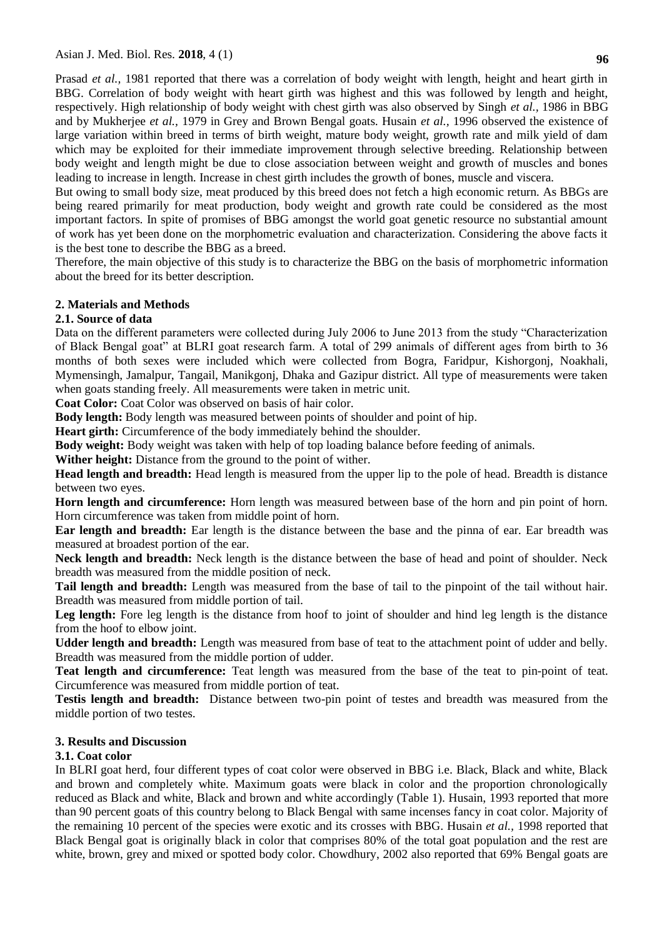Prasad *et al.,* 1981 reported that there was a correlation of body weight with length, height and heart girth in BBG. Correlation of body weight with heart girth was highest and this was followed by length and height, respectively. High relationship of body weight with chest girth was also observed by Singh *et al.,* 1986 in BBG and by Mukherjee *et al.,* 1979 in Grey and Brown Bengal goats. Husain *et al.,* 1996 observed the existence of large variation within breed in terms of birth weight, mature body weight, growth rate and milk yield of dam which may be exploited for their immediate improvement through selective breeding. Relationship between body weight and length might be due to close association between weight and growth of muscles and bones leading to increase in length. Increase in chest girth includes the growth of bones, muscle and viscera.

But owing to small body size, meat produced by this breed does not fetch a high economic return. As BBGs are being reared primarily for meat production, body weight and growth rate could be considered as the most important factors. In spite of promises of BBG amongst the world goat genetic resource no substantial amount of work has yet been done on the morphometric evaluation and characterization. Considering the above facts it is the best tone to describe the BBG as a breed.

Therefore, the main objective of this study is to characterize the BBG on the basis of morphometric information about the breed for its better description.

### **2. Materials and Methods**

### **2.1. Source of data**

Data on the different parameters were collected during July 2006 to June 2013 from the study "Characterization of Black Bengal goat" at BLRI goat research farm. A total of 299 animals of different ages from birth to 36 months of both sexes were included which were collected from Bogra, Faridpur, Kishorgonj, Noakhali, Mymensingh, Jamalpur, Tangail, Manikgonj, Dhaka and Gazipur district. All type of measurements were taken when goats standing freely. All measurements were taken in metric unit.

**Coat Color:** Coat Color was observed on basis of hair color.

**Body length:** Body length was measured between points of shoulder and point of hip.

Heart girth: Circumference of the body immediately behind the shoulder.

**Body weight:** Body weight was taken with help of top loading balance before feeding of animals.

**Wither height:** Distance from the ground to the point of wither.

**Head length and breadth:** Head length is measured from the upper lip to the pole of head. Breadth is distance between two eyes.

**Horn length and circumference:** Horn length was measured between base of the horn and pin point of horn. Horn circumference was taken from middle point of horn.

**Ear length and breadth:** Ear length is the distance between the base and the pinna of ear. Ear breadth was measured at broadest portion of the ear.

**Neck length and breadth:** Neck length is the distance between the base of head and point of shoulder. Neck breadth was measured from the middle position of neck.

**Tail length and breadth:** Length was measured from the base of tail to the pinpoint of the tail without hair. Breadth was measured from middle portion of tail.

Leg length: Fore leg length is the distance from hoof to joint of shoulder and hind leg length is the distance from the hoof to elbow joint.

**Udder length and breadth:** Length was measured from base of teat to the attachment point of udder and belly. Breadth was measured from the middle portion of udder.

**Teat length and circumference:** Teat length was measured from the base of the teat to pin-point of teat. Circumference was measured from middle portion of teat.

**Testis length and breadth:** Distance between two-pin point of testes and breadth was measured from the middle portion of two testes.

# **3. Results and Discussion**

### **3.1. Coat color**

In BLRI goat herd, four different types of coat color were observed in BBG i.e. Black, Black and white, Black and brown and completely white. Maximum goats were black in color and the proportion chronologically reduced as Black and white, Black and brown and white accordingly (Table 1). Husain, 1993 reported that more than 90 percent goats of this country belong to Black Bengal with same incenses fancy in coat color. Majority of the remaining 10 percent of the species were exotic and its crosses with BBG. Husain *et al.,* 1998 reported that Black Bengal goat is originally black in color that comprises 80% of the total goat population and the rest are white, brown, grey and mixed or spotted body color. Chowdhury, 2002 also reported that 69% Bengal goats are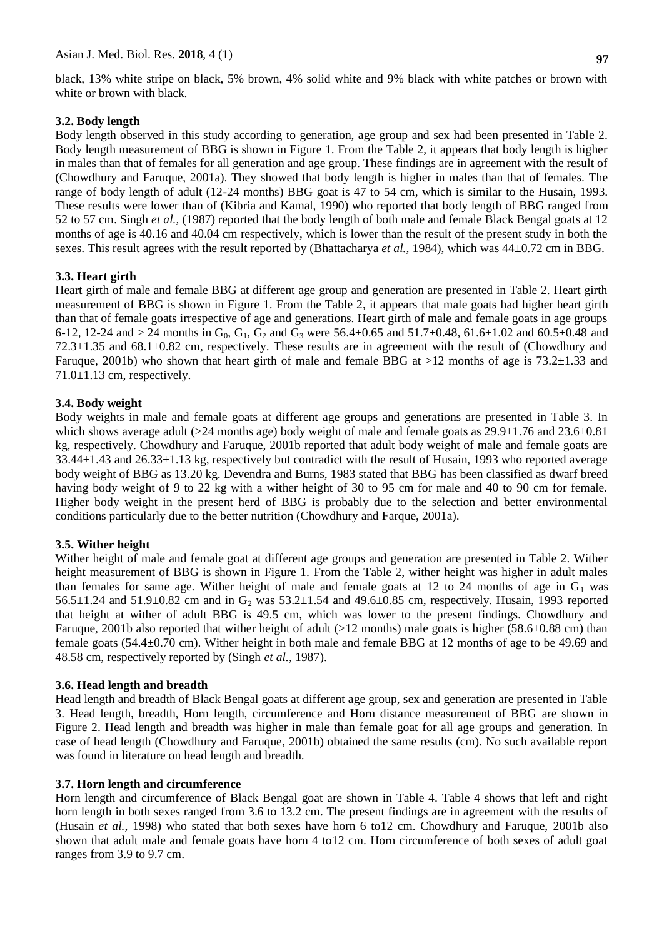black, 13% white stripe on black, 5% brown, 4% solid white and 9% black with white patches or brown with white or brown with black.

# **3.2. Body length**

Body length observed in this study according to generation, age group and sex had been presented in Table 2. Body length measurement of BBG is shown in Figure 1. From the Table 2, it appears that body length is higher in males than that of females for all generation and age group. These findings are in agreement with the result of (Chowdhury and Faruque, 2001a). They showed that body length is higher in males than that of females. The range of body length of adult (12-24 months) BBG goat is 47 to 54 cm, which is similar to the Husain, 1993. These results were lower than of (Kibria and Kamal, 1990) who reported that body length of BBG ranged from 52 to 57 cm. Singh *et al.,* (1987) reported that the body length of both male and female Black Bengal goats at 12 months of age is 40.16 and 40.04 cm respectively, which is lower than the result of the present study in both the sexes. This result agrees with the result reported by (Bhattacharya *et al.*, 1984), which was  $44\pm0.72$  cm in BBG.

### **3.3. Heart girth**

Heart girth of male and female BBG at different age group and generation are presented in Table 2. Heart girth measurement of BBG is shown in Figure 1. From the Table 2, it appears that male goats had higher heart girth than that of female goats irrespective of age and generations. Heart girth of male and female goats in age groups 6-12, 12-24 and > 24 months in  $G_0$ ,  $G_1$ ,  $G_2$  and  $G_3$  were 56.4±0.65 and 51.7±0.48, 61.6±1.02 and 60.5±0.48 and 72.3±1.35 and 68.1±0.82 cm, respectively. These results are in agreement with the result of (Chowdhury and Faruque, 2001b) who shown that heart girth of male and female BBG at >12 months of age is 73.2±1.33 and  $71.0 \pm 1.13$  cm, respectively.

### **3.4. Body weight**

Body weights in male and female goats at different age groups and generations are presented in Table 3. In which shows average adult ( $>24$  months age) body weight of male and female goats as  $29.9\pm1.76$  and  $23.6\pm0.81$ kg, respectively. Chowdhury and Faruque, 2001b reported that adult body weight of male and female goats are 33.44±1.43 and 26.33±1.13 kg, respectively but contradict with the result of Husain, 1993 who reported average body weight of BBG as 13.20 kg. Devendra and Burns, 1983 stated that BBG has been classified as dwarf breed having body weight of 9 to 22 kg with a wither height of 30 to 95 cm for male and 40 to 90 cm for female. Higher body weight in the present herd of BBG is probably due to the selection and better environmental conditions particularly due to the better nutrition (Chowdhury and Farque, 2001a).

# **3.5. Wither height**

Wither height of male and female goat at different age groups and generation are presented in Table 2. Wither height measurement of BBG is shown in Figure 1. From the Table 2, wither height was higher in adult males than females for same age. Wither height of male and female goats at 12 to 24 months of age in  $G_1$  was 56.5 $\pm$ 1.24 and 51.9 $\pm$ 0.82 cm and in G<sub>2</sub> was 53.2 $\pm$ 1.54 and 49.6 $\pm$ 0.85 cm, respectively. Husain, 1993 reported that height at wither of adult BBG is 49.5 cm, which was lower to the present findings. Chowdhury and Faruque, 2001b also reported that wither height of adult (>12 months) male goats is higher (58.6±0.88 cm) than female goats (54.4±0.70 cm). Wither height in both male and female BBG at 12 months of age to be 49.69 and 48.58 cm, respectively reported by (Singh *et al.,* 1987).

### **3.6. Head length and breadth**

Head length and breadth of Black Bengal goats at different age group, sex and generation are presented in Table 3. Head length, breadth, Horn length, circumference and Horn distance measurement of BBG are shown in Figure 2. Head length and breadth was higher in male than female goat for all age groups and generation. In case of head length (Chowdhury and Faruque, 2001b) obtained the same results (cm). No such available report was found in literature on head length and breadth.

### **3.7. Horn length and circumference**

Horn length and circumference of Black Bengal goat are shown in Table 4. Table 4 shows that left and right horn length in both sexes ranged from 3.6 to 13.2 cm. The present findings are in agreement with the results of (Husain *et al.,* 1998) who stated that both sexes have horn 6 to12 cm. Chowdhury and Faruque, 2001b also shown that adult male and female goats have horn 4 to12 cm. Horn circumference of both sexes of adult goat ranges from 3.9 to 9.7 cm.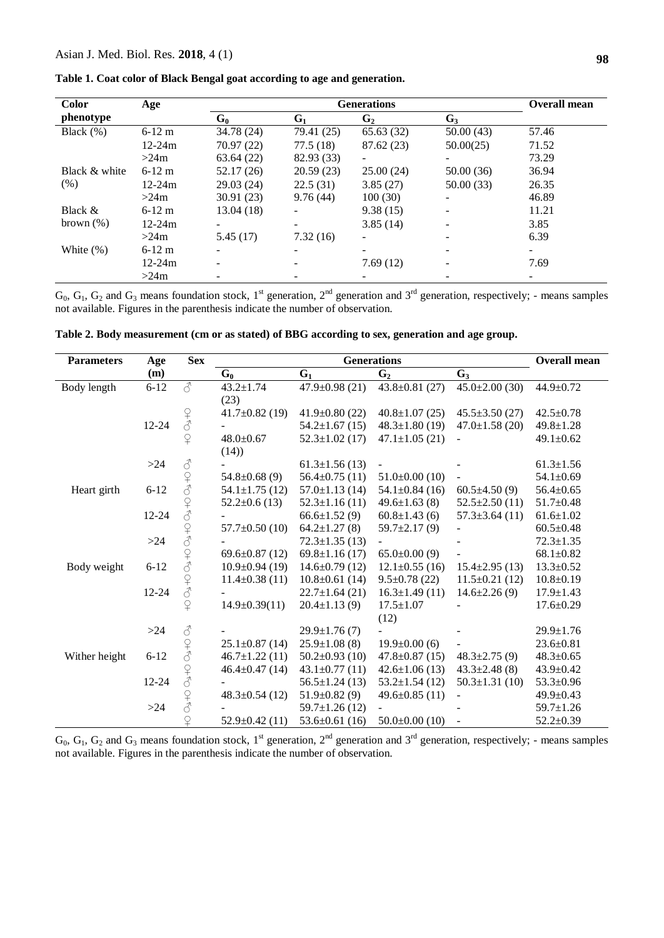|  |  |  | Table 1. Coat color of Black Bengal goat according to age and generation |
|--|--|--|--------------------------------------------------------------------------|
|--|--|--|--------------------------------------------------------------------------|

| <b>Color</b>  | Age        |            | <b>Overall mean</b>      |           |           |       |
|---------------|------------|------------|--------------------------|-----------|-----------|-------|
| phenotype     |            | $G_0$      | $G_1$                    | $G_2$     | $G_3$     |       |
| Black $(\%)$  | $6-12$ m   | 34.78 (24) | 79.41 (25)               | 65.63(32) | 50.00(43) | 57.46 |
|               | $12 - 24m$ | 70.97(22)  | 77.5(18)                 | 87.62(23) | 50.00(25) | 71.52 |
|               | >24m       | 63.64(22)  | 82.93 (33)               |           |           | 73.29 |
| Black & white | $6-12$ m   | 52.17(26)  | 20.59(23)                | 25.00(24) | 50.00(36) | 36.94 |
| (% )          | $12 - 24m$ | 29.03(24)  | 22.5(31)                 | 3.85(27)  | 50.00(33) | 26.35 |
|               | >24m       | 30.91(23)  | 9.76(44)                 | 100(30)   | -         | 46.89 |
| Black &       | $6-12$ m   | 13.04 (18) | $\overline{\phantom{a}}$ | 9.38(15)  |           | 11.21 |
| brown $(\% )$ | $12 - 24m$ |            |                          | 3.85(14)  |           | 3.85  |
|               | >24m       | 5.45(17)   | 7.32(16)                 | -         |           | 6.39  |
| White $(\%)$  | $6-12$ m   |            |                          |           |           |       |
|               | $12 - 24m$ |            | -                        | 7.69(12)  | -         | 7.69  |
|               | >24m       |            |                          |           |           |       |

 $G_0, G_1, G_2$  and  $G_3$  means foundation stock, 1<sup>st</sup> generation, 2<sup>nd</sup> generation and 3<sup>rd</sup> generation, respectively; - means samples not available. Figures in the parenthesis indicate the number of observation.

| <b>Parameters</b> | Age       | <b>Sex</b>                                                                                |                      | <b>Overall mean</b>  |                      |                      |                 |
|-------------------|-----------|-------------------------------------------------------------------------------------------|----------------------|----------------------|----------------------|----------------------|-----------------|
|                   | (m)       |                                                                                           | $G_0$                | $G_1$                | G <sub>2</sub>       | $G_3$                |                 |
| Body length       | $6 - 12$  | ₫                                                                                         | $43.2 \pm 1.74$      | $47.9 \pm 0.98$ (21) | $43.8 \pm 0.81$ (27) | $45.0 \pm 2.00$ (30) | 44.9±0.72       |
|                   |           |                                                                                           | (23)                 |                      |                      |                      |                 |
|                   |           |                                                                                           | $41.7\pm0.82(19)$    | $41.9 \pm 0.80$ (22) | $40.8 \pm 1.07$ (25) | $45.5 \pm 3.50(27)$  | $42.5 \pm 0.78$ |
|                   | 12-24     | 27                                                                                        |                      | $54.2 \pm 1.67$ (15) | $48.3 \pm 1.80$ (19) | $47.0 \pm 1.58$ (20) | $49.8 \pm 1.28$ |
|                   |           | $\varphi$                                                                                 | $48.0 \pm 0.67$      | $52.3 \pm 1.02$ (17) | $47.1 \pm 1.05$ (21) |                      | $49.1 \pm 0.62$ |
|                   |           |                                                                                           | (14)                 |                      |                      |                      |                 |
|                   | $>24$     | $\vec{\mathcal{C}}$                                                                       |                      | $61.3 \pm 1.56(13)$  |                      |                      | $61.3 \pm 1.56$ |
|                   |           |                                                                                           | $54.8 \pm 0.68$ (9)  | $56.4 \pm 0.75(11)$  | $51.0\pm0.00(10)$    | $\blacksquare$       | $54.1 \pm 0.69$ |
| Heart girth       | $6 - 12$  | 949949949949                                                                              | $54.1 \pm 1.75$ (12) | $57.0 \pm 1.13(14)$  | $54.1 \pm 0.84$ (16) | $60.5 \pm 4.50(9)$   | $56.4 \pm 0.65$ |
|                   |           |                                                                                           | $52.2 \pm 0.6$ (13)  | $52.3 \pm 1.16(11)$  | $49.6 \pm 1.63(8)$   | $52.5 \pm 2.50(11)$  | $51.7 \pm 0.48$ |
|                   | 12-24     |                                                                                           |                      | $66.6 \pm 1.52(9)$   | $60.8 \pm 1.43(6)$   | $57.3 \pm 3.64$ (11) | $61.6 \pm 1.02$ |
|                   |           |                                                                                           | $57.7 \pm 0.50$ (10) | $64.2 \pm 1.27(8)$   | $59.7 \pm 2.17(9)$   |                      | $60.5 \pm 0.48$ |
|                   | $>24$     |                                                                                           |                      | $72.3 \pm 1.35(13)$  |                      |                      | $72.3 \pm 1.35$ |
|                   |           |                                                                                           | $69.6 \pm 0.87$ (12) | $69.8 \pm 1.16(17)$  | $65.0\pm0.00(9)$     |                      | $68.1 \pm 0.82$ |
| Body weight       | $6 - 12$  |                                                                                           | $10.9 \pm 0.94$ (19) | $14.6 \pm 0.79$ (12) | $12.1 \pm 0.55$ (16) | $15.4 \pm 2.95(13)$  | $13.3 \pm 0.52$ |
|                   |           |                                                                                           | $11.4 \pm 0.38(11)$  | $10.8 \pm 0.61$ (14) | $9.5 \pm 0.78$ (22)  | $11.5 \pm 0.21$ (12) | $10.8 \pm 0.19$ |
|                   | 12-24     |                                                                                           |                      | $22.7 \pm 1.64$ (21) | $16.3 \pm 1.49(11)$  | $14.6 \pm 2.26(9)$   | $17.9 \pm 1.43$ |
|                   |           | $\overline{P}$                                                                            | $14.9 \pm 0.39(11)$  | $20.4 \pm 1.13(9)$   | $17.5 \pm 1.07$      |                      | $17.6 \pm 0.29$ |
|                   |           |                                                                                           |                      |                      | (12)                 |                      |                 |
|                   | >24       | $\vec{\mathcal{C}}$                                                                       |                      | $29.9 \pm 1.76(7)$   |                      |                      | $29.9 \pm 1.76$ |
|                   |           | $\begin{array}{c} \n\text{ }\\ \n\text{ }\\ \n\text{ }\\ \n\text{ }\\ \n\end{array}$      | $25.1 \pm 0.87$ (14) | $25.9 \pm 1.08$ (8)  | $19.9 \pm 0.00$ (6)  |                      | $23.6 \pm 0.81$ |
| Wither height     | $6 - 12$  |                                                                                           | $46.7 \pm 1.22$ (11) | $50.2 \pm 0.93$ (10) | $47.8 \pm 0.87$ (15) | $48.3 \pm 2.75(9)$   | $48.3 \pm 0.65$ |
|                   |           | $\begin{array}{c} \n\curvearrowleft \\ \n\curvearrowleft \n\curvearrowleft \n\end{array}$ | $46.4 \pm 0.47$ (14) | $43.1 \pm 0.77(11)$  | $42.6 \pm 1.06(13)$  | $43.3 \pm 2.48$ (8)  | $43.9 \pm 0.42$ |
|                   | $12 - 24$ |                                                                                           |                      | $56.5 \pm 1.24(13)$  | $53.2 \pm 1.54$ (12) | $50.3 \pm 1.31(10)$  | $53.3 \pm 0.96$ |
|                   |           | 24                                                                                        | $48.3 \pm 0.54$ (12) | $51.9\pm0.82(9)$     | 49.6 $\pm$ 0.85 (11) |                      | $49.9 \pm 0.43$ |
|                   | >24       |                                                                                           |                      | $59.7 \pm 1.26$ (12) |                      |                      | $59.7 \pm 1.26$ |
|                   |           |                                                                                           | $52.9 \pm 0.42$ (11) | $53.6 \pm 0.61$ (16) | $50.0 \pm 0.00$ (10) |                      | $52.2 \pm 0.39$ |

**Table 2. Body measurement (cm or as stated) of BBG according to sex, generation and age group.**

 $G_0, G_1, G_2$  and  $G_3$  means foundation stock, 1<sup>st</sup> generation, 2<sup>nd</sup> generation and 3<sup>rd</sup> generation, respectively; - means samples not available. Figures in the parenthesis indicate the number of observation.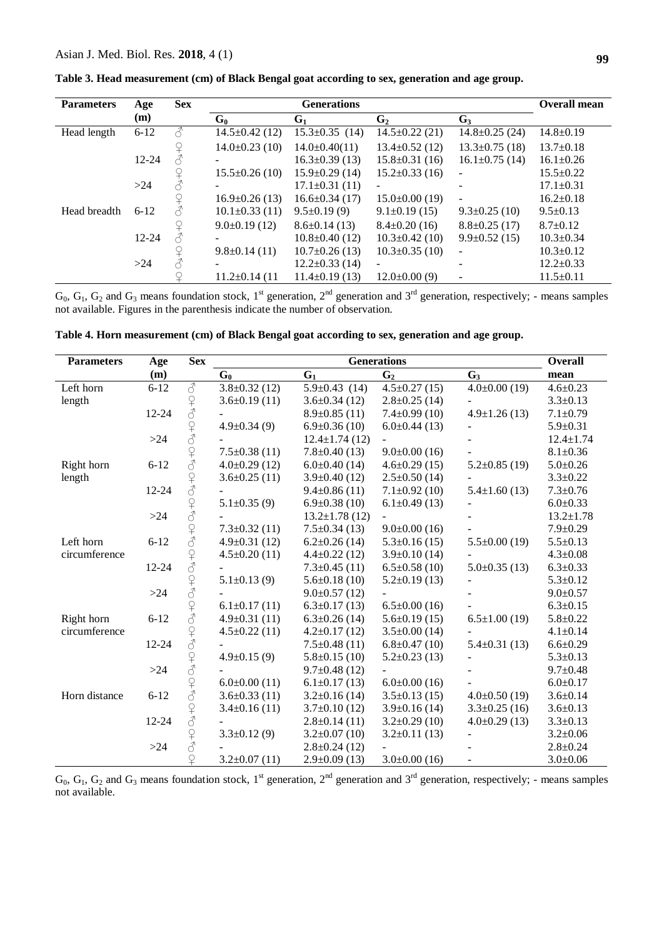| <b>Parameters</b> | Age       | <b>Sex</b> |                      | <b>Overall mean</b>  |                          |                          |                 |
|-------------------|-----------|------------|----------------------|----------------------|--------------------------|--------------------------|-----------------|
|                   | (m)       |            | $G_0$                | $G_1$                | $G_2$                    | $G_3$                    |                 |
| Head length       | $6-12$    | ♂          | $14.5 \pm 0.42$ (12) | $15.3 \pm 0.35$ (14) | $14.5 \pm 0.22$ (21)     | $14.8 \pm 0.25$ (24)     | $14.8 \pm 0.19$ |
|                   |           |            | $14.0\pm0.23(10)$    | $14.0 \pm 0.40(11)$  | $13.4 \pm 0.52$ (12)     | $13.3 \pm 0.75$ (18)     | $13.7 \pm 0.18$ |
|                   | $12 - 24$ |            |                      | $16.3 \pm 0.39$ (13) | $15.8 \pm 0.31(16)$      | $16.1 \pm 0.75$ (14)     | $16.1 \pm 0.26$ |
|                   |           |            | $15.5 \pm 0.26(10)$  | $15.9 \pm 0.29$ (14) | $15.2 \pm 0.33$ (16)     | $\overline{a}$           | $15.5 \pm 0.22$ |
|                   | >24       |            |                      | $17.1 \pm 0.31(11)$  | $\overline{a}$           |                          | $17.1 \pm 0.31$ |
|                   |           |            | $16.9 \pm 0.26(13)$  | $16.6 \pm 0.34(17)$  | $15.0\pm0.00(19)$        | $\overline{a}$           | $16.2 \pm 0.18$ |
| Head breadth      | $6 - 12$  |            | $10.1 \pm 0.33$ (11) | $9.5 \pm 0.19(9)$    | $9.1\pm0.19(15)$         | $9.3 \pm 0.25$ (10)      | $9.5 \pm 0.13$  |
|                   |           |            | $9.0\pm0.19(12)$     | $8.6 \pm 0.14(13)$   | $8.4 \pm 0.20$ (16)      | $8.8 \pm 0.25$ (17)      | $8.7 \pm 0.12$  |
|                   | $12 - 24$ |            | ۰                    | $10.8 \pm 0.40$ (12) | $10.3 \pm 0.42$ (10)     | $9.9 \pm 0.52$ (15)      | $10.3 \pm 0.34$ |
|                   |           |            | $9.8 \pm 0.14(11)$   | $10.7 \pm 0.26$ (13) | $10.3 \pm 0.35$ (10)     | $\overline{a}$           | $10.3 \pm 0.12$ |
|                   | $>24$     |            | -                    | $12.2 \pm 0.33$ (14) | $\overline{\phantom{0}}$ | $\overline{\phantom{0}}$ | $12.2 \pm 0.33$ |
|                   |           |            | $11.2 \pm 0.14$ (11  | $11.4\pm0.19(13)$    | $12.0\pm0.00(9)$         | $\overline{\phantom{a}}$ | $11.5 \pm 0.11$ |

**Table 3. Head measurement (cm) of Black Bengal goat according to sex, generation and age group.**

 $G_0, G_1, G_2$  and  $G_3$  means foundation stock, 1<sup>st</sup> generation, 2<sup>nd</sup> generation and 3<sup>rd</sup> generation, respectively; - means samples not available. Figures in the parenthesis indicate the number of observation.

| <b>Parameters</b> | Age       | <b>Sex</b>         | <b>Generations</b>  |                      |                     |                     | <b>Overall</b>  |
|-------------------|-----------|--------------------|---------------------|----------------------|---------------------|---------------------|-----------------|
|                   | (m)       |                    | $G_0$               | $G_1$                | G <sub>2</sub>      | $G_3$               | mean            |
| Left horn         | $6 - 12$  | ♂                  | $3.8 \pm 0.32$ (12) | $5.9 \pm 0.43$ (14)  | $4.5 \pm 0.27$ (15) | $4.0 \pm 0.00$ (19) | $4.6 \pm 0.23$  |
| length            |           |                    | $3.6\pm0.19(11)$    | $3.6 \pm 0.34(12)$   | $2.8 \pm 0.25$ (14) |                     | $3.3 \pm 0.13$  |
|                   | $12 - 24$ |                    |                     | $8.9 \pm 0.85$ (11)  | $7.4 \pm 0.99$ (10) | $4.9 \pm 1.26$ (13) | $7.1 \pm 0.79$  |
|                   |           |                    | $4.9 \pm 0.34(9)$   | $6.9 \pm 0.36$ (10)  | $6.0\pm0.44(13)$    |                     | $5.9 \pm 0.31$  |
|                   | $>24$     |                    |                     | $12.4 \pm 1.74(12)$  |                     |                     | $12.4 \pm 1.74$ |
|                   |           |                    | $7.5 \pm 0.38$ (11) | $7.8 \pm 0.40$ (13)  | $9.0\pm0.00(16)$    |                     | $8.1 \pm 0.36$  |
| Right horn        | $6 - 12$  |                    | $4.0\pm0.29(12)$    | $6.0\pm0.40(14)$     | $4.6 \pm 0.29$ (15) | $5.2 \pm 0.85$ (19) | $5.0 \pm 0.26$  |
| length            |           |                    | $3.6 \pm 0.25$ (11) | $3.9 \pm 0.40$ (12)  | $2.5 \pm 0.50$ (14) |                     | $3.3 \pm 0.22$  |
|                   | 12-24     |                    |                     | $9.4 \pm 0.86(11)$   | $7.1 \pm 0.92$ (10) | $5.4 \pm 1.60$ (13) | $7.3 \pm 0.76$  |
|                   |           |                    | $5.1 \pm 0.35(9)$   | $6.9 \pm 0.38$ (10)  | $6.1 \pm 0.49$ (13) |                     | $6.0 \pm 0.33$  |
|                   | $>24$     |                    |                     | $13.2 \pm 1.78$ (12) |                     |                     | $13.2 \pm 1.78$ |
|                   |           |                    | $7.3 \pm 0.32$ (11) | $7.5 \pm 0.34(13)$   | $9.0 \pm 0.00$ (16) |                     | $7.9 \pm 0.29$  |
| Left horn         | $6 - 12$  |                    | $4.9 \pm 0.31$ (12) | $6.2 \pm 0.26$ (14)  | $5.3 \pm 0.16$ (15) | $5.5 \pm 0.00$ (19) | $5.5 \pm 0.13$  |
| circumference     |           |                    | $4.5 \pm 0.20$ (11) | $4.4 \pm 0.22$ (12)  | $3.9 \pm 0.10$ (14) |                     | $4.3 \pm 0.08$  |
|                   | 12-24     | そうそうそうちょうこうさん      |                     | $7.3 \pm 0.45$ (11)  | $6.5 \pm 0.58$ (10) | $5.0\pm0.35(13)$    | $6.3 \pm 0.33$  |
|                   |           |                    | $5.1 \pm 0.13(9)$   | $5.6 \pm 0.18$ (10)  | $5.2 \pm 0.19$ (13) |                     | $5.3 \pm 0.12$  |
|                   | >24       |                    |                     | $9.0 \pm 0.57$ (12)  |                     |                     | $9.0 \pm 0.57$  |
|                   |           |                    | $6.1 \pm 0.17(11)$  | $6.3 \pm 0.17$ (13)  | $6.5 \pm 0.00$ (16) |                     | $6.3 \pm 0.15$  |
| Right horn        | $6 - 12$  |                    | $4.9 \pm 0.31(11)$  | $6.3 \pm 0.26$ (14)  | $5.6 \pm 0.19$ (15) | $6.5 \pm 1.00$ (19) | $5.8 + 0.22$    |
| circumference     |           |                    | $4.5 \pm 0.22$ (11) | $4.2 \pm 0.17$ (12)  | $3.5 \pm 0.00$ (14) |                     | $4.1 \pm 0.14$  |
|                   | 12-24     |                    |                     | $7.5 \pm 0.48(11)$   | $6.8 \pm 0.47(10)$  | $5.4 \pm 0.31(13)$  | $6.6 \pm 0.29$  |
|                   |           |                    | $4.9 \pm 0.15(9)$   | $5.8 \pm 0.15$ (10)  | $5.2 \pm 0.23$ (13) |                     | $5.3 \pm 0.13$  |
|                   | $>24$     |                    |                     | $9.7 \pm 0.48$ (12)  |                     |                     | $9.7 \pm 0.48$  |
|                   |           |                    | $6.0 \pm 0.00$ (11) | $6.1 \pm 0.17$ (13)  | $6.0 \pm 0.00$ (16) |                     | $6.0 \pm 0.17$  |
| Horn distance     | $6 - 12$  |                    | $3.6 \pm 0.33$ (11) | $3.2\pm0.16(14)$     | $3.5 \pm 0.13$ (15) | $4.0\pm0.50(19)$    | $3.6 \pm 0.14$  |
|                   |           |                    | $3.4\pm0.16(11)$    | $3.7\pm0.10(12)$     | $3.9 \pm 0.16$ (14) | $3.3 \pm 0.25$ (16) | $3.6 \pm 0.13$  |
|                   | 12-24     |                    |                     | $2.8 \pm 0.14(11)$   | $3.2\pm0.29(10)$    | $4.0\pm0.29(13)$    | $3.3 \pm 0.13$  |
|                   |           | ひょうしょうしょうしょうしょうしょう | $3.3 \pm 0.12$ (9)  | $3.2 \pm 0.07$ (10)  | $3.2\pm0.11(13)$    |                     | $3.2 \pm 0.06$  |
|                   | $>24$     |                    |                     | $2.8 \pm 0.24$ (12)  |                     |                     | $2.8 \pm 0.24$  |
|                   |           | $\varphi$          | $3.2\pm0.07(11)$    | $2.9 \pm 0.09$ (13)  | $3.0\pm0.00$ (16)   |                     | $3.0 \pm 0.06$  |

| Table 4. Horn measurement (cm) of Black Bengal goat according to sex, generation and age group. |  |  |  |  |  |
|-------------------------------------------------------------------------------------------------|--|--|--|--|--|
|-------------------------------------------------------------------------------------------------|--|--|--|--|--|

 $G_0$ ,  $G_1$ ,  $G_2$  and  $G_3$  means foundation stock, 1<sup>st</sup> generation, 2<sup>nd</sup> generation and 3<sup>rd</sup> generation, respectively; - means samples not available.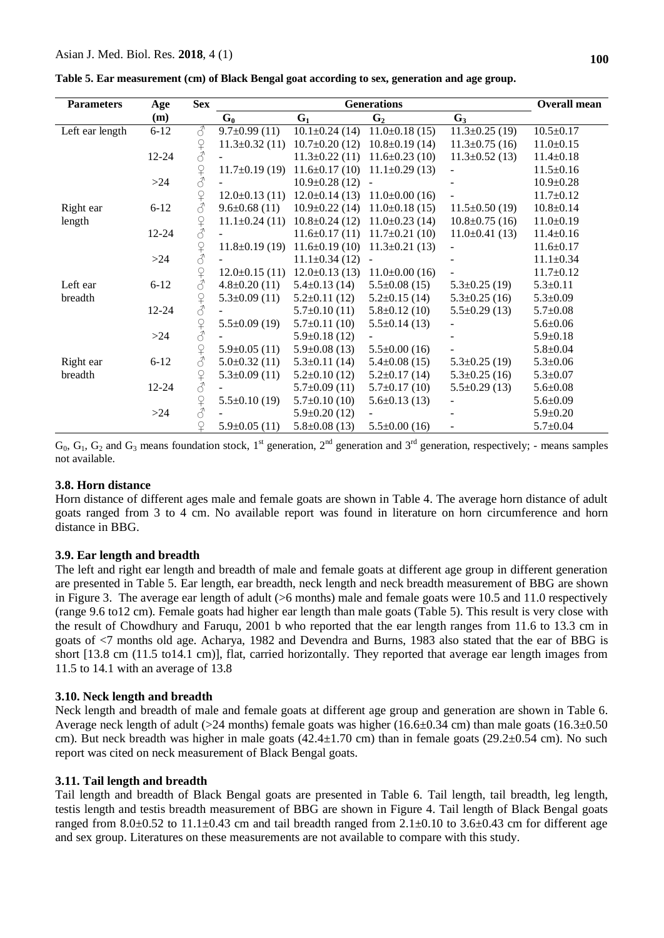|  |  | Table 5. Ear measurement (cm) of Black Bengal goat according to sex, generation and age group. |  |  |  |  |  |  |
|--|--|------------------------------------------------------------------------------------------------|--|--|--|--|--|--|
|--|--|------------------------------------------------------------------------------------------------|--|--|--|--|--|--|

| <b>Parameters</b> | Age       | <b>Sex</b>                                                                                                                                                                                                                                                                                                                                                                                                                                                 |                      | <b>Overall mean</b>  |                      |                          |                 |
|-------------------|-----------|------------------------------------------------------------------------------------------------------------------------------------------------------------------------------------------------------------------------------------------------------------------------------------------------------------------------------------------------------------------------------------------------------------------------------------------------------------|----------------------|----------------------|----------------------|--------------------------|-----------------|
|                   | (m)       |                                                                                                                                                                                                                                                                                                                                                                                                                                                            | $G_0$                | $G_1$                | G <sub>2</sub>       | $G_3$                    |                 |
| Left ear length   | $6 - 12$  | ♂                                                                                                                                                                                                                                                                                                                                                                                                                                                          | $9.7 \pm 0.99(11)$   | $10.1 \pm 0.24$ (14) | $11.0\pm0.18(15)$    | $11.3 \pm 0.25$ (19)     | $10.5 \pm 0.17$ |
|                   |           |                                                                                                                                                                                                                                                                                                                                                                                                                                                            | $11.3 \pm 0.32$ (11) | $10.7 \pm 0.20$ (12) | $10.8 \pm 0.19$ (14) | $11.3 \pm 0.75$ (16)     | $11.0 \pm 0.15$ |
|                   | $12 - 24$ | $\begin{array}{c} \n\text{P} \\ \text{P} \\ \text{P} \\ \text{P} \\ \text{P} \\ \text{P} \\ \text{P} \\ \text{P} \\ \text{P} \\ \text{P} \\ \text{P} \\ \text{P} \\ \text{P} \\ \text{P} \\ \text{P} \\ \text{P} \\ \text{P} \\ \text{P} \\ \text{P} \\ \text{P} \\ \text{P} \\ \text{P} \\ \text{P} \\ \text{P} \\ \text{P} \\ \text{P} \\ \text{P} \\ \text{P} \\ \text{P} \\ \text{P} \\ \text{P} \\ \text{P} \\ \text{P} \\ \text{P} \\ \text{P} \\ \$ |                      | $11.3 \pm 0.22$ (11) | $11.6 \pm 0.23$ (10) | $11.3 \pm 0.52$ (13)     | $11.4 \pm 0.18$ |
|                   |           |                                                                                                                                                                                                                                                                                                                                                                                                                                                            | $11.7\pm0.19(19)$    | $11.6 \pm 0.17(10)$  | $11.1\pm0.29(13)$    |                          | $11.5 \pm 0.16$ |
|                   | >24       | $\begin{array}{c} \n\text{Q} \n\end{array}$                                                                                                                                                                                                                                                                                                                                                                                                                |                      | $10.9 \pm 0.28$ (12) |                      |                          | $10.9 \pm 0.28$ |
|                   |           |                                                                                                                                                                                                                                                                                                                                                                                                                                                            | $12.0\pm0.13(11)$    | $12.0\pm0.14(13)$    | $11.0\pm0.00(16)$    |                          | $11.7 \pm 0.12$ |
| Right ear         | $6 - 12$  |                                                                                                                                                                                                                                                                                                                                                                                                                                                            | $9.6 \pm 0.68(11)$   | $10.9 \pm 0.22$ (14) | $11.0\pm0.18(15)$    | $11.5\pm0.50(19)$        | $10.8 \pm 0.14$ |
| length            |           |                                                                                                                                                                                                                                                                                                                                                                                                                                                            | $11.1 \pm 0.24(11)$  | $10.8 \pm 0.24$ (12) | $11.0\pm0.23(14)$    | $10.8 \pm 0.75$ (16)     | $11.0 \pm 0.19$ |
|                   | 12-24     | $\frac{1}{2}$                                                                                                                                                                                                                                                                                                                                                                                                                                              |                      | $11.6 \pm 0.17(11)$  | $11.7\pm0.21(10)$    | $11.0\pm0.41(13)$        | $11.4 \pm 0.16$ |
|                   |           | $\begin{array}{c} \n\text{Q} \\ \n\text{Q} \end{array}$                                                                                                                                                                                                                                                                                                                                                                                                    | $11.8 \pm 0.19$ (19) | $11.6 \pm 0.19(10)$  | $11.3 \pm 0.21$ (13) | $\overline{\phantom{a}}$ | $11.6 \pm 0.17$ |
|                   | $>24$     |                                                                                                                                                                                                                                                                                                                                                                                                                                                            |                      | $11.1 \pm 0.34(12)$  |                      |                          | $11.1 \pm 0.34$ |
|                   |           |                                                                                                                                                                                                                                                                                                                                                                                                                                                            | $12.0 \pm 0.15(11)$  | $12.0 \pm 0.13$ (13) | $11.0\pm0.00(16)$    |                          | $11.7 \pm 0.12$ |
| Left ear          | $6 - 12$  |                                                                                                                                                                                                                                                                                                                                                                                                                                                            | $4.8 \pm 0.20$ (11)  | $5.4 \pm 0.13$ (14)  | $5.5 \pm 0.08$ (15)  | $5.3 \pm 0.25$ (19)      | $5.3 \pm 0.11$  |
| breadth           |           |                                                                                                                                                                                                                                                                                                                                                                                                                                                            | $5.3 \pm 0.09$ (11)  | $5.2 \pm 0.11$ (12)  | $5.2 \pm 0.15$ (14)  | $5.3 \pm 0.25$ (16)      | $5.3 \pm 0.09$  |
|                   | $12 - 24$ | $\frac{1}{2}$                                                                                                                                                                                                                                                                                                                                                                                                                                              |                      | $5.7\pm0.10(11)$     | $5.8 \pm 0.12$ (10)  | $5.5 \pm 0.29$ (13)      | $5.7 \pm 0.08$  |
|                   |           | $\begin{array}{c} \n\text{Q} \n\end{array}$                                                                                                                                                                                                                                                                                                                                                                                                                | $5.5 \pm 0.09$ (19)  | $5.7\pm0.11(10)$     | $5.5 \pm 0.14(13)$   |                          | $5.6 \pm 0.06$  |
|                   | >24       |                                                                                                                                                                                                                                                                                                                                                                                                                                                            |                      | $5.9\pm0.18(12)$     |                      |                          | $5.9 \pm 0.18$  |
|                   |           | $\begin{array}{c} \n\text{Q} \\ \n\text{Q} \end{array}$                                                                                                                                                                                                                                                                                                                                                                                                    | $5.9 \pm 0.05$ (11)  | $5.9 \pm 0.08$ (13)  | $5.5 \pm 0.00$ (16)  |                          | $5.8 \pm 0.04$  |
| Right ear         | $6 - 12$  |                                                                                                                                                                                                                                                                                                                                                                                                                                                            | $5.0\pm0.32(11)$     | $5.3 \pm 0.11$ (14)  | $5.4 \pm 0.08$ (15)  | $5.3 \pm 0.25$ (19)      | $5.3 \pm 0.06$  |
| breadth           |           | $\begin{array}{c} \n\bigcirc + \bigcirc \\ \n\bigcirc + \bigcirc \n\end{array}$                                                                                                                                                                                                                                                                                                                                                                            | $5.3 \pm 0.09$ (11)  | $5.2 \pm 0.10$ (12)  | $5.2 \pm 0.17$ (14)  | $5.3 \pm 0.25$ (16)      | $5.3 \pm 0.07$  |
|                   | $12 - 24$ |                                                                                                                                                                                                                                                                                                                                                                                                                                                            |                      | $5.7\pm0.09(11)$     | $5.7 \pm 0.17$ (10)  | $5.5 \pm 0.29$ (13)      | $5.6 \pm 0.08$  |
|                   |           | $\begin{array}{c} \n\text{Q} \\ \n\text{Q} \end{array}$                                                                                                                                                                                                                                                                                                                                                                                                    | $5.5 \pm 0.10(19)$   | $5.7\pm0.10(10)$     | $5.6 \pm 0.13$ (13)  |                          | $5.6 \pm 0.09$  |
|                   | $>24$     |                                                                                                                                                                                                                                                                                                                                                                                                                                                            |                      | $5.9 \pm 0.20$ (12)  |                      |                          | $5.9 \pm 0.20$  |
|                   |           | $\mathsf{P}$                                                                                                                                                                                                                                                                                                                                                                                                                                               | $5.9 \pm 0.05$ (11)  | $5.8 \pm 0.08$ (13)  | $5.5 \pm 0.00$ (16)  |                          | $5.7 \pm 0.04$  |

 $G_0$ ,  $G_1$ ,  $G_2$  and  $G_3$  means foundation stock, 1<sup>st</sup> generation, 2<sup>nd</sup> generation and 3<sup>rd</sup> generation, respectively; - means samples not available.

### **3.8. Horn distance**

Horn distance of different ages male and female goats are shown in Table 4. The average horn distance of adult goats ranged from 3 to 4 cm. No available report was found in literature on horn circumference and horn distance in BBG.

#### **3.9. Ear length and breadth**

The left and right ear length and breadth of male and female goats at different age group in different generation are presented in Table 5. Ear length, ear breadth, neck length and neck breadth measurement of BBG are shown in Figure 3. The average ear length of adult (>6 months) male and female goats were 10.5 and 11.0 respectively (range 9.6 to12 cm). Female goats had higher ear length than male goats (Table 5). This result is very close with the result of Chowdhury and Faruqu, 2001 b who reported that the ear length ranges from 11.6 to 13.3 cm in goats of <7 months old age. Acharya, 1982 and Devendra and Burns, 1983 also stated that the ear of BBG is short [13.8 cm (11.5 to14.1 cm)], flat, carried horizontally. They reported that average ear length images from 11.5 to 14.1 with an average of 13.8

#### **3.10. Neck length and breadth**

Neck length and breadth of male and female goats at different age group and generation are shown in Table 6. Average neck length of adult (>24 months) female goats was higher ( $16.6\pm0.34$  cm) than male goats ( $16.3\pm0.50$ cm). But neck breadth was higher in male goats  $(42.4 \pm 1.70 \text{ cm})$  than in female goats  $(29.2 \pm 0.54 \text{ cm})$ . No such report was cited on neck measurement of Black Bengal goats.

#### **3.11. Tail length and breadth**

Tail length and breadth of Black Bengal goats are presented in Table 6. Tail length, tail breadth, leg length, testis length and testis breadth measurement of BBG are shown in Figure 4. Tail length of Black Bengal goats ranged from 8.0 $\pm$ 0.52 to 11.1 $\pm$ 0.43 cm and tail breadth ranged from 2.1 $\pm$ 0.10 to 3.6 $\pm$ 0.43 cm for different age and sex group. Literatures on these measurements are not available to compare with this study.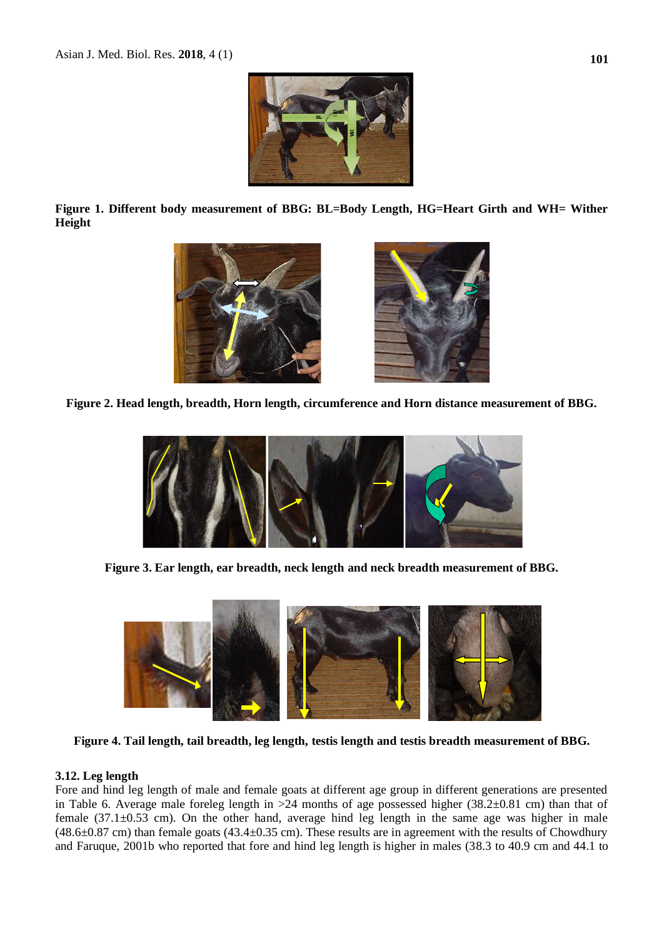

**Figure 1. Different body measurement of BBG: BL=Body Length, HG=Heart Girth and WH= Wither Height**



**Figure 2. Head length, breadth, Horn length, circumference and Horn distance measurement of BBG.**



**Figure 3. Ear length, ear breadth, neck length and neck breadth measurement of BBG.**



**Figure 4. Tail length, tail breadth, leg length, testis length and testis breadth measurement of BBG.**

### **3.12. Leg length**

Fore and hind leg length of male and female goats at different age group in different generations are presented in Table 6. Average male foreleg length in >24 months of age possessed higher (38.2±0.81 cm) than that of female (37.1±0.53 cm). On the other hand, average hind leg length in the same age was higher in male (48.6±0.87 cm) than female goats (43.4±0.35 cm). These results are in agreement with the results of Chowdhury and Faruque, 2001b who reported that fore and hind leg length is higher in males (38.3 to 40.9 cm and 44.1 to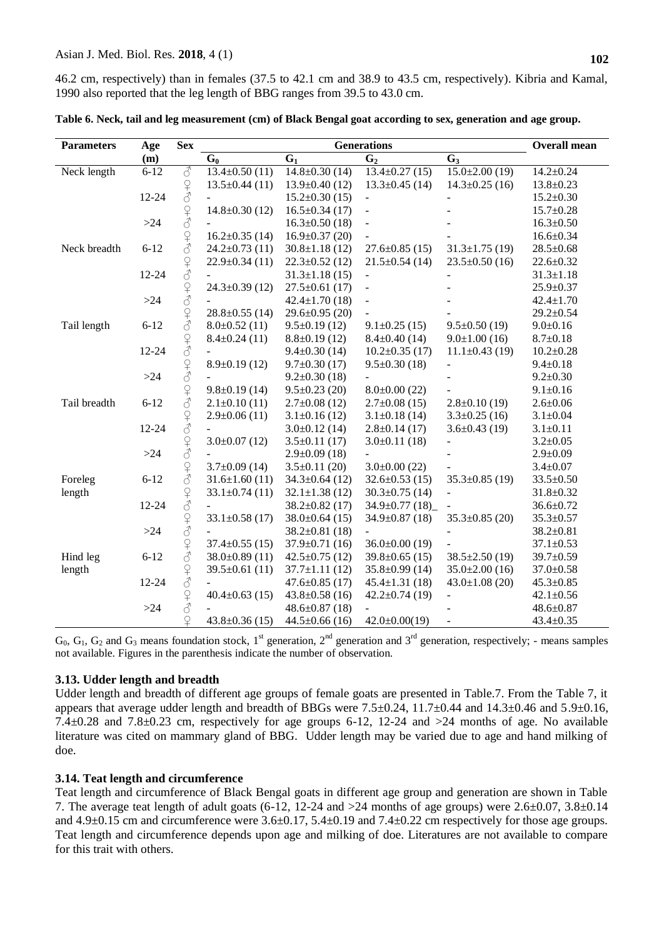46.2 cm, respectively) than in females (37.5 to 42.1 cm and 38.9 to 43.5 cm, respectively). Kibria and Kamal, 1990 also reported that the leg length of BBG ranges from 39.5 to 43.0 cm.

| <b>Parameters</b> | Age      | <b>Sex</b>                                                                        | <b>Generations</b>   |                      |                          |                          | <b>Overall mean</b> |
|-------------------|----------|-----------------------------------------------------------------------------------|----------------------|----------------------|--------------------------|--------------------------|---------------------|
|                   | (m)      |                                                                                   | $G_0$                | G <sub>1</sub>       | G <sub>2</sub>           | $G_3$                    |                     |
| Neck length       | $6 - 12$ | $\mathcal{E}$                                                                     | $13.4 \pm 0.50$ (11) | $14.8 \pm 0.30$ (14) | $13.4 \pm 0.27$ (15)     | $15.0 \pm 2.00$ (19)     | $14.2 \pm 0.24$     |
|                   |          | $\frac{1}{2}$                                                                     | $13.5 \pm 0.44$ (11) | $13.9 \pm 0.40$ (12) | $13.3 \pm 0.45$ (14)     | $14.3 \pm 0.25$ (16)     | $13.8 \pm 0.23$     |
|                   | 12-24    |                                                                                   | $\sim$               | $15.2 \pm 0.30$ (15) | $\blacksquare$           |                          | $15.2 \pm 0.30$     |
|                   |          |                                                                                   | $14.8 \pm 0.30$ (12) | $16.5 \pm 0.34(17)$  | $\overline{\phantom{a}}$ |                          | $15.7 \pm 0.28$     |
|                   | $>24$    |                                                                                   |                      | $16.3 \pm 0.50$ (18) | ÷,                       |                          | $16.3 \pm 0.50$     |
|                   |          |                                                                                   | $16.2 \pm 0.35$ (14) | $16.9 \pm 0.37$ (20) |                          |                          | $16.6 \pm 0.34$     |
| Neck breadth      | $6 - 12$ |                                                                                   | $24.2 \pm 0.73$ (11) | $30.8 \pm 1.18$ (12) | $27.6 \pm 0.85$ (15)     | $31.3 \pm 1.75$ (19)     | $28.5 \pm 0.68$     |
|                   |          |                                                                                   | $22.9 \pm 0.34(11)$  | $22.3 \pm 0.52$ (12) | $21.5 \pm 0.54$ (14)     | $23.5 \pm 0.50$ (16)     | $22.6 \pm 0.32$     |
|                   | 12-24    | $\begin{array}{c} \n\textcircled{\tiny 1} \\ \n\textcircled{\tiny 2} \end{array}$ |                      | $31.3 \pm 1.18$ (15) |                          |                          | $31.3 \pm 1.18$     |
|                   |          |                                                                                   | $24.3 \pm 0.39$ (12) | $27.5 \pm 0.61$ (17) | $\overline{a}$           |                          | $25.9 \pm 0.37$     |
|                   | $>24$    | $\frac{Q}{d}$                                                                     |                      | $42.4 \pm 1.70(18)$  | ÷,                       |                          | $42.4 \pm 1.70$     |
|                   |          |                                                                                   | $28.8 \pm 0.55$ (14) | $29.6 \pm 0.95$ (20) |                          |                          | $29.2 \pm 0.54$     |
| Tail length       | $6 - 12$ |                                                                                   | $8.0\pm0.52(11)$     | $9.5 \pm 0.19$ (12)  | $9.1 \pm 0.25$ (15)      | $9.5 \pm 0.50$ (19)      | $9.0 \pm 0.16$      |
|                   |          |                                                                                   | $8.4 \pm 0.24(11)$   | $8.8 \pm 0.19$ (12)  | $8.4 \pm 0.40$ (14)      | $9.0 \pm 1.00$ (16)      | $8.7 \pm 0.18$      |
|                   | 12-24    | $\frac{1}{2}$                                                                     |                      | $9.4 \pm 0.30$ (14)  | $10.2 \pm 0.35$ (17)     | $11.1\pm0.43(19)$        | $10.2 \pm 0.28$     |
|                   |          | $\overline{S}$                                                                    | $8.9 \pm 0.19$ (12)  | $9.7 \pm 0.30$ (17)  | $9.5 \pm 0.30$ (18)      | $\overline{\phantom{0}}$ | $9.4 \pm 0.18$      |
|                   | $>24$    |                                                                                   |                      | $9.2 \pm 0.30$ (18)  |                          |                          | $9.2 \pm 0.30$      |
|                   |          | $\begin{array}{c} \n\text{Q} \\ \n\text{Q} \end{array}$                           | $9.8 \pm 0.19$ (14)  | $9.5 \pm 0.23$ (20)  | $8.0\pm0.00(22)$         |                          | $9.1 \pm 0.16$      |
| Tail breadth      | $6 - 12$ |                                                                                   | $2.1 \pm 0.10(11)$   | $2.7 \pm 0.08$ (12)  | $2.7 \pm 0.08$ (15)      | $2.8 \pm 0.10$ (19)      | $2.6 \pm 0.06$      |
|                   |          |                                                                                   | $2.9 \pm 0.06(11)$   | $3.1 \pm 0.16$ (12)  | $3.1 \pm 0.18$ (14)      | $3.3 \pm 0.25$ (16)      | $3.1 \pm 0.04$      |
|                   | 12-24    | $O+O$                                                                             |                      | $3.0\pm0.12(14)$     | $2.8 \pm 0.14$ (17)      | $3.6 \pm 0.43$ (19)      | $3.1 \pm 0.11$      |
|                   |          |                                                                                   | $3.0\pm0.07(12)$     | $3.5 \pm 0.11$ (17)  | $3.0\pm0.11(18)$         |                          | $3.2 \pm 0.05$      |
|                   | $>24$    | $Q + 3$                                                                           |                      | $2.9 \pm 0.09$ (18)  |                          |                          | $2.9 \pm 0.09$      |
|                   |          | 240                                                                               | $3.7 \pm 0.09$ (14)  | $3.5 \pm 0.11$ (20)  | $3.0\pm0.00(22)$         |                          | $3.4 \pm 0.07$      |
| Foreleg           | $6 - 12$ |                                                                                   | $31.6 \pm 1.60(11)$  | $34.3 \pm 0.64$ (12) | $32.6 \pm 0.53(15)$      | $35.3 \pm 0.85$ (19)     | $33.5 \pm 0.50$     |
| length            |          |                                                                                   | $33.1 \pm 0.74(11)$  | $32.1 \pm 1.38$ (12) | $30.3 \pm 0.75$ (14)     |                          | $31.8 \pm 0.32$     |
|                   | 12-24    | $\begin{array}{c} \n\bigcirc \\ \n\bigcirc \n\end{array}$                         |                      | $38.2 \pm 0.82$ (17) | $34.9 \pm 0.77(18)$      |                          | $36.6 \pm 0.72$     |
|                   |          |                                                                                   | $33.1 \pm 0.58$ (17) | $38.0 \pm 0.64$ (15) | $34.9 \pm 0.87$ (18)     | $35.3 \pm 0.85$ (20)     | $35.3 \pm 0.57$     |
|                   | $>24$    | $\begin{array}{c} \n\text{Q} \\ \n\text{Q} \end{array}$                           |                      | $38.2 \pm 0.81$ (18) |                          |                          | $38.2 \pm 0.81$     |
|                   |          |                                                                                   | $37.4 \pm 0.55$ (15) | $37.9 \pm 0.71(16)$  | $36.0 \pm 0.00$ (19)     |                          | $37.1 \pm 0.53$     |
| Hind leg          | $6 - 12$ | $\begin{array}{c} \n\text{Q} \n\end{array}$                                       | $38.0 \pm 0.89$ (11) | $42.5 \pm 0.75$ (12) | $39.8 \pm 0.65$ (15)     | $38.5 \pm 2.50$ (19)     | 39.7±0.59           |
| length            |          |                                                                                   | $39.5 \pm 0.61(11)$  | $37.7 \pm 1.11$ (12) | $35.8 \pm 0.99$ (14)     | $35.0 \pm 2.00$ (16)     | $37.0 \pm 0.58$     |
|                   | 12-24    | $\begin{array}{c} \n\text{Q} \n\end{array}$                                       |                      | $47.6 \pm 0.85$ (17) | $45.4 \pm 1.31(18)$      | $43.0 \pm 1.08$ (20)     | $45.3 \pm 0.85$     |
|                   |          | 24                                                                                | $40.4 \pm 0.63$ (15) | $43.8 \pm 0.58$ (16) | $42.2 \pm 0.74(19)$      |                          | $42.1 \pm 0.56$     |
|                   | $>24$    |                                                                                   |                      | $48.6 \pm 0.87$ (18) |                          |                          | $48.6 \pm 0.87$     |
|                   |          | $\mathcal{Q}$                                                                     | $43.8 \pm 0.36(15)$  | $44.5 \pm 0.66$ (16) | $42.0 \pm 0.00(19)$      |                          | $43.4 \pm 0.35$     |

**Table 6. Neck, tail and leg measurement (cm) of Black Bengal goat according to sex, generation and age group.**

 $G_0$ ,  $G_1$ ,  $G_2$  and  $G_3$  means foundation stock, 1<sup>st</sup> generation, 2<sup>nd</sup> generation and 3<sup>rd</sup> generation, respectively; - means samples not available. Figures in the parenthesis indicate the number of observation.

# **3.13. Udder length and breadth**

Udder length and breadth of different age groups of female goats are presented in Table.7. From the Table 7, it appears that average udder length and breadth of BBGs were 7.5±0.24, 11.7±0.44 and 14.3±0.46 and 5.9±0.16, 7.4±0.28 and 7.8±0.23 cm, respectively for age groups 6-12, 12-24 and >24 months of age. No available literature was cited on mammary gland of BBG. Udder length may be varied due to age and hand milking of doe.

# **3.14. Teat length and circumference**

Teat length and circumference of Black Bengal goats in different age group and generation are shown in Table 7. The average teat length of adult goats  $(6-12, 12-24, 12-24, 12-24)$  months of age groups) were  $2.6\pm0.07$ ,  $3.8\pm0.14$ and  $4.9\pm0.15$  cm and circumference were  $3.6\pm0.17$ ,  $5.4\pm0.19$  and  $7.4\pm0.22$  cm respectively for those age groups. Teat length and circumference depends upon age and milking of doe. Literatures are not available to compare for this trait with others.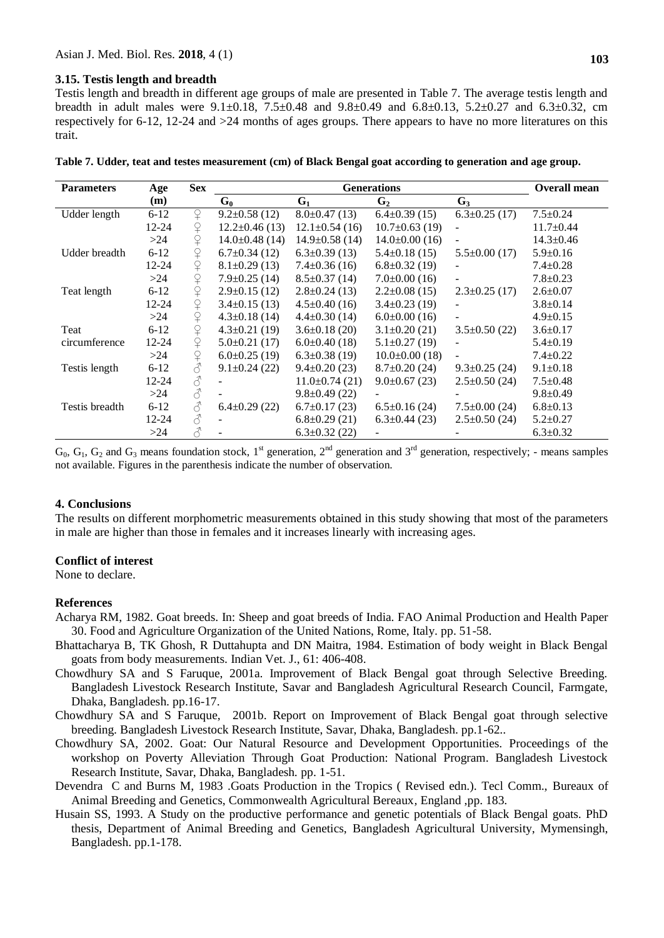#### **3.15. Testis length and breadth**

Testis length and breadth in different age groups of male are presented in Table 7. The average testis length and breadth in adult males were  $9.1 \pm 0.18$ ,  $7.5 \pm 0.48$  and  $9.8 \pm 0.49$  and  $6.8 \pm 0.13$ ,  $5.2 \pm 0.27$  and  $6.3 \pm 0.32$ , cm respectively for 6-12, 12-24 and >24 months of ages groups. There appears to have no more literatures on this trait.

| <b>Parameters</b> | Age       | <b>Sex</b>                                              |                     | <b>Overall mean</b>  |                     |                          |                 |
|-------------------|-----------|---------------------------------------------------------|---------------------|----------------------|---------------------|--------------------------|-----------------|
|                   | (m)       |                                                         | $G_0$               | G <sub>1</sub>       | G <sub>2</sub>      | $G_3$                    |                 |
| Udder length      | $6 - 12$  | $\mathsf{P}$                                            | $9.2 \pm 0.58$ (12) | $8.0\pm0.47(13)$     | $6.4\pm0.39(15)$    | $6.3 \pm 0.25$ (17)      | $7.5 \pm 0.24$  |
|                   | $12 - 24$ | ♀                                                       | $12.2 \pm 0.46(13)$ | $12.1 \pm 0.54(16)$  | $10.7\pm0.63(19)$   |                          | $11.7 \pm 0.44$ |
|                   | >24       | ♀                                                       | $14.0\pm0.48(14)$   | $14.9 \pm 0.58$ (14) | $14.0\pm0.00(16)$   |                          | $14.3 \pm 0.46$ |
| Udder breadth     | $6 - 12$  | $\Omega$                                                | $6.7 \pm 0.34$ (12) | $6.3 \pm 0.39$ (13)  | $5.4 \pm 0.18$ (15) | $5.5 \pm 0.00$ (17)      | $5.9 \pm 0.16$  |
|                   | $12 - 24$ | $\overline{P}$                                          | $8.1 \pm 0.29$ (13) | $7.4 \pm 0.36(16)$   | $6.8 \pm 0.32$ (19) |                          | $7.4 \pm 0.28$  |
|                   | >24       | ¥                                                       | $7.9 \pm 0.25$ (14) | $8.5 \pm 0.37(14)$   | $7.0\pm0.00(16)$    | $\overline{\phantom{0}}$ | $7.8 \pm 0.23$  |
| Teat length       | $6 - 12$  | $\varphi$                                               | $2.9 \pm 0.15$ (12) | $2.8 \pm 0.24$ (13)  | $2.2 \pm 0.08$ (15) | $2.3 \pm 0.25$ (17)      | $2.6 \pm 0.07$  |
|                   | $12 - 24$ | $\hbox{$\widehat{\hspace{-1.25pt}{-}}\hspace{-1.25pt}}$ | $3.4\pm0.15(13)$    | $4.5 \pm 0.40$ (16)  | $3.4\pm0.23(19)$    |                          | $3.8 \pm 0.14$  |
|                   | >24       | ♀                                                       | $4.3 \pm 0.18$ (14) | $4.4 \pm 0.30$ (14)  | $6.0\pm0.00(16)$    |                          | $4.9 \pm 0.15$  |
| Teat              | $6 - 12$  | $\overline{P}$                                          | $4.3 \pm 0.21$ (19) | $3.6 \pm 0.18$ (20)  | $3.1 \pm 0.20$ (21) | $3.5\pm0.50(22)$         | $3.6 \pm 0.17$  |
| circumference     | $12 - 24$ | $\varsigma$                                             | $5.0\pm0.21(17)$    | $6.0\pm0.40(18)$     | $5.1 \pm 0.27$ (19) |                          | $5.4 \pm 0.19$  |
|                   | >24       | ♀                                                       | $6.0\pm0.25(19)$    | $6.3\pm0.38(19)$     | $10.0\pm0.00(18)$   | ÷                        | $7.4 \pm 0.22$  |
| Testis length     | $6 - 12$  |                                                         | $9.1 \pm 0.24$ (22) | $9.4 \pm 0.20$ (23)  | $8.7\pm0.20(24)$    | $9.3 \pm 0.25$ (24)      | $9.1 \pm 0.18$  |
|                   | $12 - 24$ | 8                                                       |                     | $11.0\pm0.74(21)$    | $9.0\pm0.67(23)$    | $2.5 \pm 0.50$ (24)      | $7.5 \pm 0.48$  |
|                   | >24       | $\vec{\mathcal{C}}$                                     |                     | $9.8 \pm 0.49$ (22)  |                     |                          | $9.8 \pm 0.49$  |
| Testis breadth    | $6 - 12$  | $\mathcal{S}$                                           | $6.4 \pm 0.29$ (22) | $6.7\pm0.17(23)$     | $6.5 \pm 0.16(24)$  | $7.5 \pm 0.00$ (24)      | $6.8 \pm 0.13$  |
|                   | 12-24     | $\mathcal{E}$                                           |                     | $6.8 \pm 0.29$ (21)  | $6.3 \pm 0.44$ (23) | $2.5 \pm 0.50$ (24)      | $5.2 \pm 0.27$  |
|                   | >24       |                                                         |                     | $6.3 \pm 0.32$ (22)  |                     |                          | $6.3 \pm 0.32$  |

**Table 7. Udder, teat and testes measurement (cm) of Black Bengal goat according to generation and age group.**

 $G_0$ ,  $G_1$ ,  $G_2$  and  $G_3$  means foundation stock, 1<sup>st</sup> generation, 2<sup>nd</sup> generation and 3<sup>rd</sup> generation, respectively; - means samples not available. Figures in the parenthesis indicate the number of observation.

#### **4. Conclusions**

The results on different morphometric measurements obtained in this study showing that most of the parameters in male are higher than those in females and it increases linearly with increasing ages.

#### **Conflict of interest**

None to declare.

#### **References**

- Acharya RM, 1982. Goat breeds. In: Sheep and goat breeds of India. FAO Animal Production and Health Paper 30. Food and Agriculture Organization of the United Nations, Rome, Italy. pp. 51-58.
- Bhattacharya B, TK Ghosh, R Duttahupta and DN Maitra, 1984. Estimation of body weight in Black Bengal goats from body measurements. Indian Vet. J., 61: 406-408.
- Chowdhury SA and S Faruque, 2001a. Improvement of Black Bengal goat through Selective Breeding. Bangladesh Livestock Research Institute, Savar and Bangladesh Agricultural Research Council, Farmgate, Dhaka, Bangladesh. pp.16-17.
- Chowdhury SA and S Faruque, 2001b. Report on Improvement of Black Bengal goat through selective breeding. Bangladesh Livestock Research Institute, Savar, Dhaka, Bangladesh. pp.1-62..
- Chowdhury SA, 2002. Goat: Our Natural Resource and Development Opportunities. Proceedings of the workshop on Poverty Alleviation Through Goat Production: National Program. Bangladesh Livestock Research Institute, Savar, Dhaka, Bangladesh. pp. 1-51.
- Devendra C and Burns M, 1983 .Goats Production in the Tropics ( Revised edn.). Tecl Comm., Bureaux of Animal Breeding and Genetics, Commonwealth Agricultural Bereaux*,* England ,pp. 183.
- Husain SS, 1993. A Study on the productive performance and genetic potentials of Black Bengal goats. PhD thesis, Department of Animal Breeding and Genetics, Bangladesh Agricultural University, Mymensingh, Bangladesh. pp.1-178.